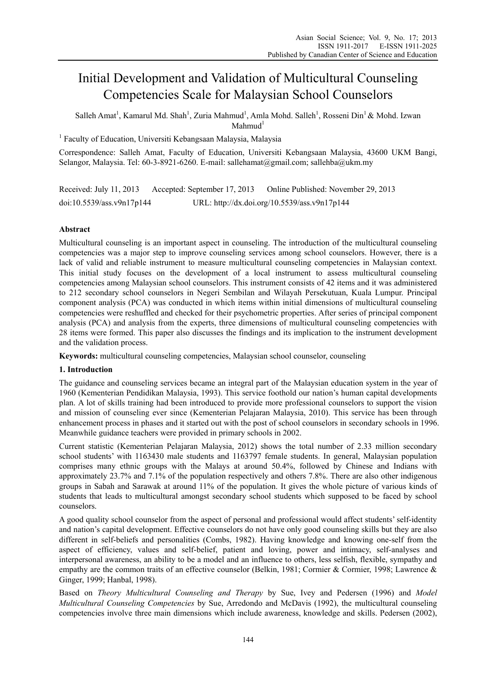# Initial Development and Validation of Multicultural Counseling Competencies Scale for Malaysian School Counselors

Salleh Amat<sup>1</sup>, Kamarul Md. Shah<sup>1</sup>, Zuria Mahmud<sup>1</sup>, Amla Mohd. Salleh<sup>1</sup>, Rosseni Din<sup>1</sup> & Mohd. Izwan  $Mahnud<sup>1</sup>$ 

<sup>1</sup> Faculty of Education, Universiti Kebangsaan Malaysia, Malaysia

Correspondence: Salleh Amat, Faculty of Education, Universiti Kebangsaan Malaysia, 43600 UKM Bangi, Selangor, Malaysia. Tel: 60-3-8921-6260. E-mail: sallehamat@gmail.com; sallehba@ukm.my

Received: July 11, 2013 Accepted: September 17, 2013 Online Published: November 29, 2013 doi:10.5539/ass.v9n17p144 URL: http://dx.doi.org/10.5539/ass.v9n17p144

# **Abstract**

Multicultural counseling is an important aspect in counseling. The introduction of the multicultural counseling competencies was a major step to improve counseling services among school counselors. However, there is a lack of valid and reliable instrument to measure multicultural counseling competencies in Malaysian context. This initial study focuses on the development of a local instrument to assess multicultural counseling competencies among Malaysian school counselors. This instrument consists of 42 items and it was administered to 212 secondary school counselors in Negeri Sembilan and Wilayah Persekutuan, Kuala Lumpur. Principal component analysis (PCA) was conducted in which items within initial dimensions of multicultural counseling competencies were reshuffled and checked for their psychometric properties. After series of principal component analysis (PCA) and analysis from the experts, three dimensions of multicultural counseling competencies with 28 items were formed. This paper also discusses the findings and its implication to the instrument development and the validation process.

**Keywords:** multicultural counseling competencies, Malaysian school counselor, counseling

# **1. Introduction**

The guidance and counseling services became an integral part of the Malaysian education system in the year of 1960 (Kementerian Pendidikan Malaysia, 1993). This service foothold our nation's human capital developments plan. A lot of skills training had been introduced to provide more professional counselors to support the vision and mission of counseling ever since (Kementerian Pelajaran Malaysia, 2010). This service has been through enhancement process in phases and it started out with the post of school counselors in secondary schools in 1996. Meanwhile guidance teachers were provided in primary schools in 2002.

Current statistic (Kementerian Pelajaran Malaysia, 2012) shows the total number of 2.33 million secondary school students' with 1163430 male students and 1163797 female students. In general, Malaysian population comprises many ethnic groups with the Malays at around 50.4%, followed by Chinese and Indians with approximately 23.7% and 7.1% of the population respectively and others 7.8%. There are also other indigenous groups in Sabah and Sarawak at around 11% of the population. It gives the whole picture of various kinds of students that leads to multicultural amongst secondary school students which supposed to be faced by school counselors.

A good quality school counselor from the aspect of personal and professional would affect students' self-identity and nation's capital development. Effective counselors do not have only good counseling skills but they are also different in self-beliefs and personalities (Combs, 1982). Having knowledge and knowing one-self from the aspect of efficiency, values and self-belief, patient and loving, power and intimacy, self-analyses and interpersonal awareness, an ability to be a model and an influence to others, less selfish, flexible, sympathy and empathy are the common traits of an effective counselor (Belkin, 1981; Cormier & Cormier, 1998; Lawrence & Ginger, 1999; Hanbal, 1998).

Based on *Theory Multicultural Counseling and Therapy* by Sue, Ivey and Pedersen (1996) and *Model Multicultural Counseling Competencies* by Sue, Arredondo and McDavis (1992), the multicultural counseling competencies involve three main dimensions which include awareness, knowledge and skills. Pedersen (2002),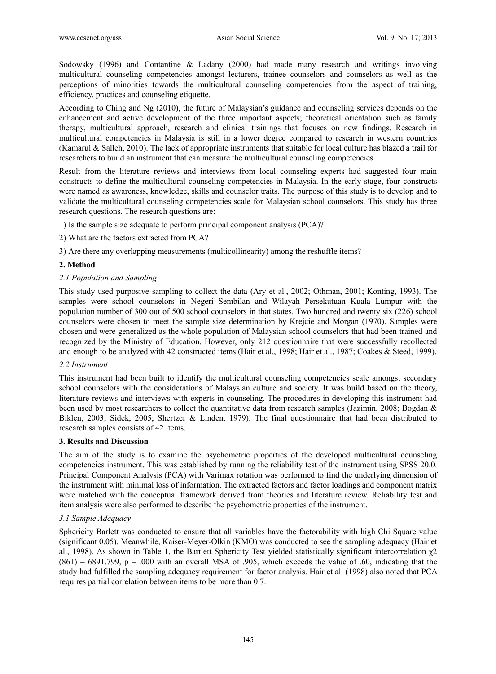Sodowsky (1996) and Contantine & Ladany (2000) had made many research and writings involving multicultural counseling competencies amongst lecturers, trainee counselors and counselors as well as the perceptions of minorities towards the multicultural counseling competencies from the aspect of training, efficiency, practices and counseling etiquette.

According to Ching and Ng (2010), the future of Malaysian's guidance and counseling services depends on the enhancement and active development of the three important aspects; theoretical orientation such as family therapy, multicultural approach, research and clinical trainings that focuses on new findings. Research in multicultural competencies in Malaysia is still in a lower degree compared to research in western countries (Kamarul & Salleh, 2010). The lack of appropriate instruments that suitable for local culture has blazed a trail for researchers to build an instrument that can measure the multicultural counseling competencies.

Result from the literature reviews and interviews from local counseling experts had suggested four main constructs to define the multicultural counseling competencies in Malaysia. In the early stage, four constructs were named as awareness, knowledge, skills and counselor traits. The purpose of this study is to develop and to validate the multicultural counseling competencies scale for Malaysian school counselors. This study has three research questions. The research questions are:

1) Is the sample size adequate to perform principal component analysis (PCA)?

- 2) What are the factors extracted from PCA?
- 3) Are there any overlapping measurements (multicollinearity) among the reshuffle items?

## **2. Method**

## *2.1 Population and Sampling*

This study used purposive sampling to collect the data (Ary et al., 2002; Othman, 2001; Konting, 1993). The samples were school counselors in Negeri Sembilan and Wilayah Persekutuan Kuala Lumpur with the population number of 300 out of 500 school counselors in that states. Two hundred and twenty six (226) school counselors were chosen to meet the sample size determination by Krejcie and Morgan (1970). Samples were chosen and were generalized as the whole population of Malaysian school counselors that had been trained and recognized by the Ministry of Education. However, only 212 questionnaire that were successfully recollected and enough to be analyzed with 42 constructed items (Hair et al., 1998; Hair et al., 1987; Coakes & Steed, 1999).

## *2.2 Instrument*

This instrument had been built to identify the multicultural counseling competencies scale amongst secondary school counselors with the considerations of Malaysian culture and society. It was build based on the theory, literature reviews and interviews with experts in counseling. The procedures in developing this instrument had been used by most researchers to collect the quantitative data from research samples (Jazimin, 2008; Bogdan & Biklen, 2003; Sidek, 2005; Shertzer & Linden, 1979). The final questionnaire that had been distributed to research samples consists of 42 items.

## **3. Results and Discussion**

The aim of the study is to examine the psychometric properties of the developed multicultural counseling competencies instrument. This was established by running the reliability test of the instrument using SPSS 20.0. Principal Component Analysis (PCA) with Varimax rotation was performed to find the underlying dimension of the instrument with minimal loss of information. The extracted factors and factor loadings and component matrix were matched with the conceptual framework derived from theories and literature review. Reliability test and item analysis were also performed to describe the psychometric properties of the instrument.

## *3.1 Sample Adequacy*

Sphericity Barlett was conducted to ensure that all variables have the factorability with high Chi Square value (significant 0.05). Meanwhile, Kaiser-Meyer-Olkin (KMO) was conducted to see the sampling adequacy (Hair et al., 1998). As shown in Table 1, the Bartlett Sphericity Test yielded statistically significant intercorrelation  $\chi^2$  $(861) = 6891.799$ ,  $p = .000$  with an overall MSA of .905, which exceeds the value of .60, indicating that the study had fulfilled the sampling adequacy requirement for factor analysis. Hair et al. (1998) also noted that PCA requires partial correlation between items to be more than 0.7.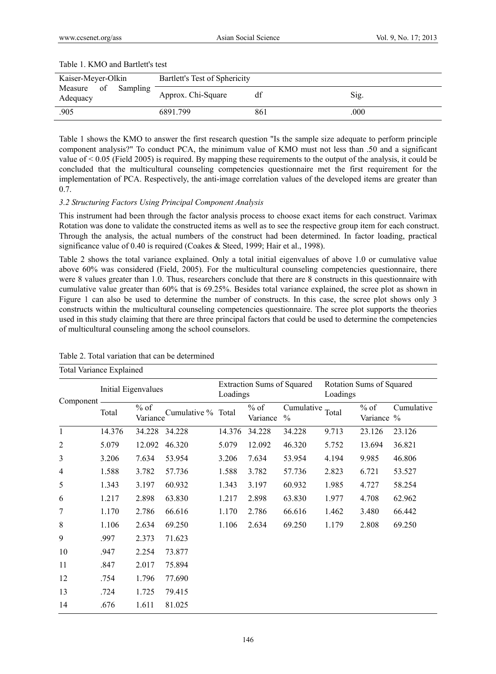| Table 1. ISBN 2018 Darticles test     |                               |     |      |  |  |
|---------------------------------------|-------------------------------|-----|------|--|--|
| Kaiser-Meyer-Olkin                    | Bartlett's Test of Sphericity |     |      |  |  |
| Sampling<br>of<br>Measure<br>Adequacy | Approx. Chi-Square            | df  | Sig. |  |  |
| .905                                  | 6891.799                      | 861 | .000 |  |  |

#### Table 1. KMO and Bartlett's test

Table 1 shows the KMO to answer the first research question "Is the sample size adequate to perform principle component analysis?" To conduct PCA, the minimum value of KMO must not less than .50 and a significant value of  $\leq 0.05$  (Field 2005) is required. By mapping these requirements to the output of the analysis, it could be concluded that the multicultural counseling competencies questionnaire met the first requirement for the implementation of PCA. Respectively, the anti-image correlation values of the developed items are greater than 0.7.

## *3.2 Structuring Factors Using Principal Component Analysis*

This instrument had been through the factor analysis process to choose exact items for each construct. Varimax Rotation was done to validate the constructed items as well as to see the respective group item for each construct. Through the analysis, the actual numbers of the construct had been determined. In factor loading, practical significance value of 0.40 is required (Coakes & Steed, 1999; Hair et al., 1998).

Table 2 shows the total variance explained. Only a total initial eigenvalues of above 1.0 or cumulative value above 60% was considered (Field, 2005). For the multicultural counseling competencies questionnaire, there were 8 values greater than 1.0. Thus, researchers conclude that there are 8 constructs in this questionnaire with cumulative value greater than 60% that is 69.25%. Besides total variance explained, the scree plot as shown in Figure 1 can also be used to determine the number of constructs. In this case, the scree plot shows only 3 constructs within the multicultural counseling competencies questionnaire. The scree plot supports the theories used in this study claiming that there are three principal factors that could be used to determine the competencies of multicultural counseling among the school counselors.

| <b>Total Variance Explained</b> |                     |                    |                    |                                               |                    |                             |                                      |                      |            |
|---------------------------------|---------------------|--------------------|--------------------|-----------------------------------------------|--------------------|-----------------------------|--------------------------------------|----------------------|------------|
|                                 | Initial Eigenvalues |                    |                    | <b>Extraction Sums of Squared</b><br>Loadings |                    |                             | Rotation Sums of Squared<br>Loadings |                      |            |
| Component                       | Total               | $%$ of<br>Variance | Cumulative % Total |                                               | $%$ of<br>Variance | Cumulative<br>$\frac{0}{0}$ | Total                                | $%$ of<br>Variance % | Cumulative |
| $\mathbf{1}$                    | 14.376              | 34.228             | 34.228             | 14.376                                        | 34.228             | 34.228                      | 9.713                                | 23.126               | 23.126     |
| 2                               | 5.079               | 12.092             | 46.320             | 5.079                                         | 12.092             | 46.320                      | 5.752                                | 13.694               | 36.821     |
| 3                               | 3.206               | 7.634              | 53.954             | 3.206                                         | 7.634              | 53.954                      | 4.194                                | 9.985                | 46.806     |
| 4                               | 1.588               | 3.782              | 57.736             | 1.588                                         | 3.782              | 57.736                      | 2.823                                | 6.721                | 53.527     |
| 5                               | 1.343               | 3.197              | 60.932             | 1.343                                         | 3.197              | 60.932                      | 1.985                                | 4.727                | 58.254     |
| 6                               | 1.217               | 2.898              | 63.830             | 1.217                                         | 2.898              | 63.830                      | 1.977                                | 4.708                | 62.962     |
| 7                               | 1.170               | 2.786              | 66.616             | 1.170                                         | 2.786              | 66.616                      | 1.462                                | 3.480                | 66.442     |
| 8                               | 1.106               | 2.634              | 69.250             | 1.106                                         | 2.634              | 69.250                      | 1.179                                | 2.808                | 69.250     |
| 9                               | .997                | 2.373              | 71.623             |                                               |                    |                             |                                      |                      |            |
| 10                              | .947                | 2.254              | 73.877             |                                               |                    |                             |                                      |                      |            |
| 11                              | .847                | 2.017              | 75.894             |                                               |                    |                             |                                      |                      |            |
| 12                              | .754                | 1.796              | 77.690             |                                               |                    |                             |                                      |                      |            |
| 13                              | .724                | 1.725              | 79.415             |                                               |                    |                             |                                      |                      |            |
| 14                              | .676                | 1.611              | 81.025             |                                               |                    |                             |                                      |                      |            |

## Table 2. Total variation that can be determined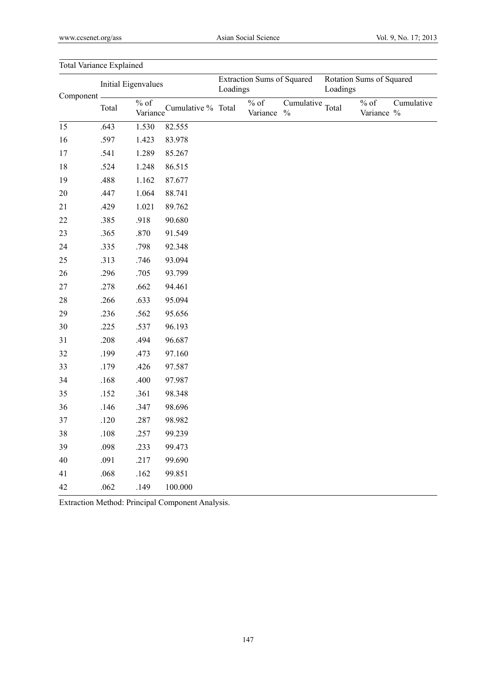| Total variance Explanicu |                     |         |                             |                                               |                     |                                   |                                      |                       |            |
|--------------------------|---------------------|---------|-----------------------------|-----------------------------------------------|---------------------|-----------------------------------|--------------------------------------|-----------------------|------------|
| Component -              | Initial Eigenvalues |         |                             | <b>Extraction Sums of Squared</b><br>Loadings |                     |                                   | Rotation Sums of Squared<br>Loadings |                       |            |
|                          | Total               | $\%$ of | Variance Cumulative % Total |                                               | $\%$ of<br>Variance | Cumulative Total<br>$\frac{0}{0}$ |                                      | $\%$ of<br>Variance % | Cumulative |
| 15                       | .643                | 1.530   | 82.555                      |                                               |                     |                                   |                                      |                       |            |
| 16                       | .597                | 1.423   | 83.978                      |                                               |                     |                                   |                                      |                       |            |
| 17                       | .541                | 1.289   | 85.267                      |                                               |                     |                                   |                                      |                       |            |
| 18                       | .524                | 1.248   | 86.515                      |                                               |                     |                                   |                                      |                       |            |
| 19                       | .488                | 1.162   | 87.677                      |                                               |                     |                                   |                                      |                       |            |
| $20\,$                   | .447                | 1.064   | 88.741                      |                                               |                     |                                   |                                      |                       |            |
| 21                       | .429                | 1.021   | 89.762                      |                                               |                     |                                   |                                      |                       |            |
| 22                       | .385                | .918    | 90.680                      |                                               |                     |                                   |                                      |                       |            |
| 23                       | .365                | .870    | 91.549                      |                                               |                     |                                   |                                      |                       |            |
| 24                       | .335                | .798    | 92.348                      |                                               |                     |                                   |                                      |                       |            |
| 25                       | .313                | .746    | 93.094                      |                                               |                     |                                   |                                      |                       |            |
| 26                       | .296                | .705    | 93.799                      |                                               |                     |                                   |                                      |                       |            |
| 27                       | .278                | .662    | 94.461                      |                                               |                     |                                   |                                      |                       |            |
| 28                       | .266                | .633    | 95.094                      |                                               |                     |                                   |                                      |                       |            |
| 29                       | .236                | .562    | 95.656                      |                                               |                     |                                   |                                      |                       |            |
| $30\,$                   | .225                | .537    | 96.193                      |                                               |                     |                                   |                                      |                       |            |
| 31                       | .208                | .494    | 96.687                      |                                               |                     |                                   |                                      |                       |            |
| 32                       | .199                | .473    | 97.160                      |                                               |                     |                                   |                                      |                       |            |
| 33                       | .179                | .426    | 97.587                      |                                               |                     |                                   |                                      |                       |            |
| 34                       | .168                | .400    | 97.987                      |                                               |                     |                                   |                                      |                       |            |
| 35                       | .152                | .361    | 98.348                      |                                               |                     |                                   |                                      |                       |            |
| 36                       | .146                | .347    | 98.696                      |                                               |                     |                                   |                                      |                       |            |
| 37                       | .120                | .287    | 98.982                      |                                               |                     |                                   |                                      |                       |            |
| 38                       | $.108\,$            | .257    | 99.239                      |                                               |                     |                                   |                                      |                       |            |
| 39                       | .098                | .233    | 99.473                      |                                               |                     |                                   |                                      |                       |            |
| 40                       | .091                | .217    | 99.690                      |                                               |                     |                                   |                                      |                       |            |
| 41                       | .068                | .162    | 99.851                      |                                               |                     |                                   |                                      |                       |            |
| 42                       | .062                | .149    | 100.000                     |                                               |                     |                                   |                                      |                       |            |

Total Variance Explained

Extraction Method: Principal Component Analysis.

147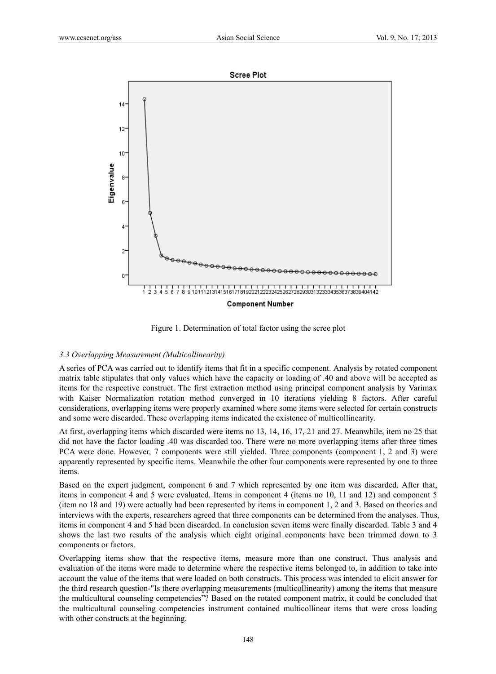

Figure 1. Determination of total factor using the scree plot

#### *3.3 Overlapping Measurement (Multicollinearity)*

A series of PCA was carried out to identify items that fit in a specific component. Analysis by rotated component matrix table stipulates that only values which have the capacity or loading of .40 and above will be accepted as items for the respective construct. The first extraction method using principal component analysis by Varimax with Kaiser Normalization rotation method converged in 10 iterations yielding 8 factors. After careful considerations, overlapping items were properly examined where some items were selected for certain constructs and some were discarded. These overlapping items indicated the existence of multicollinearity.

At first, overlapping items which discarded were items no 13, 14, 16, 17, 21 and 27. Meanwhile, item no 25 that did not have the factor loading .40 was discarded too. There were no more overlapping items after three times PCA were done. However, 7 components were still yielded. Three components (component 1, 2 and 3) were apparently represented by specific items. Meanwhile the other four components were represented by one to three items.

Based on the expert judgment, component 6 and 7 which represented by one item was discarded. After that, items in component 4 and 5 were evaluated. Items in component 4 (items no 10, 11 and 12) and component 5 (item no 18 and 19) were actually had been represented by items in component 1, 2 and 3. Based on theories and interviews with the experts, researchers agreed that three components can be determined from the analyses. Thus, items in component 4 and 5 had been discarded. In conclusion seven items were finally discarded. Table 3 and 4 shows the last two results of the analysis which eight original components have been trimmed down to 3 components or factors.

Overlapping items show that the respective items, measure more than one construct. Thus analysis and evaluation of the items were made to determine where the respective items belonged to, in addition to take into account the value of the items that were loaded on both constructs. This process was intended to elicit answer for the third research question-"Is there overlapping measurements (multicollinearity) among the items that measure the multicultural counseling competencies"? Based on the rotated component matrix, it could be concluded that the multicultural counseling competencies instrument contained multicollinear items that were cross loading with other constructs at the beginning.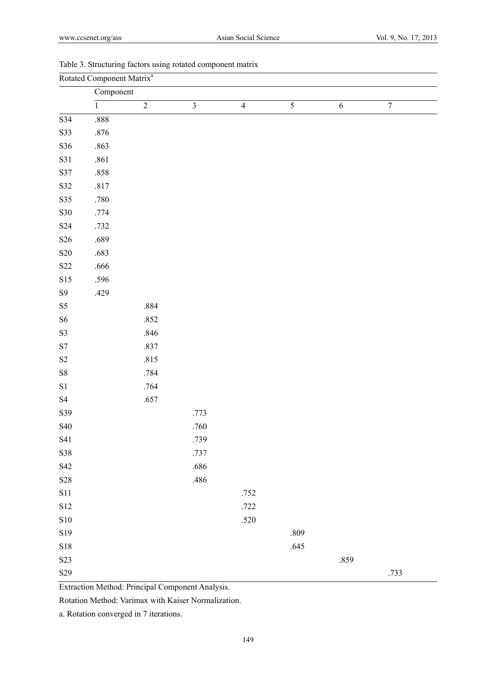| Rotated Component Matrix <sup>a</sup> |                |                |                         |                |                |            |                |
|---------------------------------------|----------------|----------------|-------------------------|----------------|----------------|------------|----------------|
|                                       | Component      |                |                         |                |                |            |                |
|                                       | $\overline{1}$ | $\overline{2}$ | $\overline{\mathbf{3}}$ | $\overline{4}$ | $\overline{5}$ | $\sqrt{6}$ | $\overline{7}$ |
| $\overline{S34}$                      | .888           |                |                         |                |                |            |                |
| S33                                   | $.876\,$       |                |                         |                |                |            |                |
| S36                                   | .863           |                |                         |                |                |            |                |
| S31                                   | $.861\,$       |                |                         |                |                |            |                |
| S37                                   | .858           |                |                         |                |                |            |                |
| S32                                   | $.817\,$       |                |                         |                |                |            |                |
| $\verb S35 $                          | $.780\,$       |                |                         |                |                |            |                |
| S30                                   | .774           |                |                         |                |                |            |                |
| S <sub>24</sub>                       | .732           |                |                         |                |                |            |                |
| S <sub>26</sub>                       | .689           |                |                         |                |                |            |                |
| ${\bf S20}$                           | .683           |                |                         |                |                |            |                |
| $\ensuremath{\mathrm{S22}}$           | .666           |                |                         |                |                |            |                |
| S15                                   | .596           |                |                         |                |                |            |                |
| $\mathbf{S9}$                         | .429           |                |                         |                |                |            |                |
| $\ensuremath{\mathrm{S5}}$            |                | $.884\,$       |                         |                |                |            |                |
| ${\rm S6}$                            |                | .852           |                         |                |                |            |                |
| $\mathbf{S3}$                         |                | .846           |                         |                |                |            |                |
| $\mathbf{S}7$                         |                | .837           |                         |                |                |            |                |
| $\rm S2$                              |                | .815           |                         |                |                |            |                |
| ${\bf S8}$                            |                | .784           |                         |                |                |            |                |
| $\rm S1$                              |                | .764           |                         |                |                |            |                |
| $\ensuremath{\mathrm{S4}}$            |                | .657           |                         |                |                |            |                |
| S39                                   |                |                | .773                    |                |                |            |                |
| S40                                   |                |                | .760                    |                |                |            |                |
| S41                                   |                |                | .739                    |                |                |            |                |
| S38                                   |                |                | .737                    |                |                |            |                |
| S42                                   |                |                | $.686$                  |                |                |            |                |
| $\mathbf{S28}$                        |                |                | .486                    |                |                |            |                |
| S11                                   |                |                |                         | .752           |                |            |                |
| $\rm S12$                             |                |                |                         | .722           |                |            |                |
| ${\bf S10}$                           |                |                |                         | $.520\,$       |                |            |                |
| S19                                   |                |                |                         |                | .809           |            |                |
| $\mathbf{S}18$                        |                |                |                         |                | .645           |            |                |
| S <sub>2</sub> 3                      |                |                |                         |                |                | .859       |                |
| S <sub>29</sub>                       |                |                |                         |                |                |            | .733           |

|  |  |  | Table 3. Structuring factors using rotated component matrix |  |
|--|--|--|-------------------------------------------------------------|--|
|  |  |  |                                                             |  |

Extraction Method: Principal Component Analysis.

Rotation Method: Varimax with Kaiser Normalization.

a. Rotation converged in 7 iterations.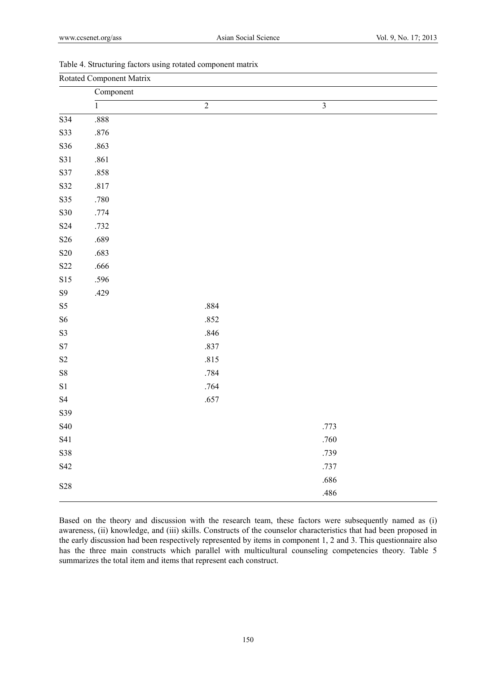| Rotated Component Matrix    |                |                |                         |  |  |  |
|-----------------------------|----------------|----------------|-------------------------|--|--|--|
|                             | Component      |                |                         |  |  |  |
|                             | $\overline{1}$ | $\overline{2}$ | $\overline{\mathbf{3}}$ |  |  |  |
| S34                         | .888           |                |                         |  |  |  |
| S33                         | $.876\,$       |                |                         |  |  |  |
| S36                         | .863           |                |                         |  |  |  |
| S31                         | .861           |                |                         |  |  |  |
| S37                         | .858           |                |                         |  |  |  |
| S32                         | $.817\,$       |                |                         |  |  |  |
| S35                         | $.780\,$       |                |                         |  |  |  |
| S30                         | .774           |                |                         |  |  |  |
| S <sub>24</sub>             | .732           |                |                         |  |  |  |
| $\ensuremath{\mathrm{S26}}$ | .689           |                |                         |  |  |  |
| $\boldsymbol{\mathrm{S20}}$ | .683           |                |                         |  |  |  |
| S <sub>22</sub>             | .666           |                |                         |  |  |  |
| S15                         | .596           |                |                         |  |  |  |
| ${\bf S9}$                  | .429           |                |                         |  |  |  |
| $\ensuremath{\mathrm{S5}}$  |                | .884           |                         |  |  |  |
| ${\rm S6}$                  |                | .852           |                         |  |  |  |
| $\mathbf{S3}$               |                | .846           |                         |  |  |  |
| $\ensuremath{\mathrm{S7}}$  |                | .837           |                         |  |  |  |
| $\rm S2$                    |                | .815           |                         |  |  |  |
| ${\bf S8}$                  |                | .784           |                         |  |  |  |
| $\rm S1$                    |                | .764           |                         |  |  |  |
| $\ensuremath{\mathrm{S4}}$  |                | .657           |                         |  |  |  |
| S39                         |                |                |                         |  |  |  |
| S40                         |                |                | .773                    |  |  |  |
| S41                         |                |                | .760                    |  |  |  |
| S38                         |                |                | .739                    |  |  |  |
| S42                         |                |                | .737                    |  |  |  |
| $\ensuremath{\mathrm{S28}}$ |                |                | .686                    |  |  |  |
|                             |                |                | .486                    |  |  |  |

# Table 4. Structuring factors using rotated component matrix

Based on the theory and discussion with the research team, these factors were subsequently named as (i) awareness, (ii) knowledge, and (iii) skills. Constructs of the counselor characteristics that had been proposed in the early discussion had been respectively represented by items in component 1, 2 and 3. This questionnaire also has the three main constructs which parallel with multicultural counseling competencies theory. Table 5 summarizes the total item and items that represent each construct.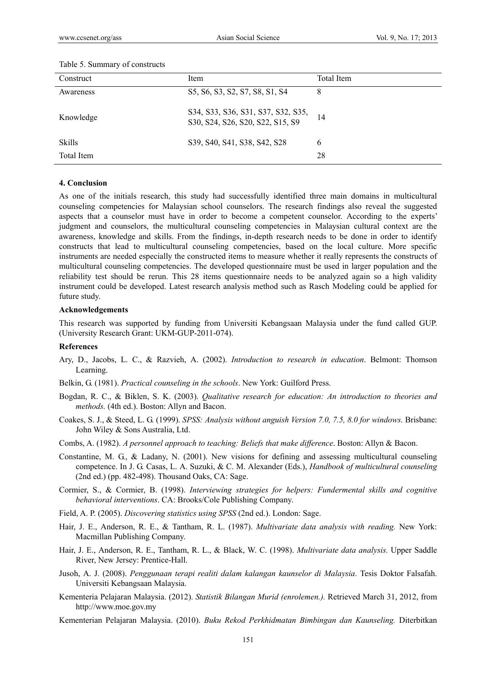| Construct  | Item                                                                   | Total Item |
|------------|------------------------------------------------------------------------|------------|
| Awareness  | S5, S6, S3, S2, S7, S8, S1, S4                                         | 8          |
| Knowledge  | S34, S33, S36, S31, S37, S32, S35,<br>S30, S24, S26, S20, S22, S15, S9 | 14         |
| Skills     | S39, S40, S41, S38, S42, S28                                           | 6          |
| Total Item |                                                                        | 28         |

#### Table 5. Summary of constructs

#### **4. Conclusion**

As one of the initials research, this study had successfully identified three main domains in multicultural counseling competencies for Malaysian school counselors. The research findings also reveal the suggested aspects that a counselor must have in order to become a competent counselor. According to the experts' judgment and counselors, the multicultural counseling competencies in Malaysian cultural context are the awareness, knowledge and skills. From the findings, in-depth research needs to be done in order to identify constructs that lead to multicultural counseling competencies, based on the local culture. More specific instruments are needed especially the constructed items to measure whether it really represents the constructs of multicultural counseling competencies. The developed questionnaire must be used in larger population and the reliability test should be rerun. This 28 items questionnaire needs to be analyzed again so a high validity instrument could be developed. Latest research analysis method such as Rasch Modeling could be applied for future study.

#### **Acknowledgements**

This research was supported by funding from Universiti Kebangsaan Malaysia under the fund called GUP. (University Research Grant: UKM-GUP-2011-074).

#### **References**

- Ary, D., Jacobs, L. C., & Razvieh, A. (2002). *Introduction to research in education*. Belmont: Thomson Learning.
- Belkin, G. (1981). *Practical counseling in the schools*. New York: Guilford Press.
- Bogdan, R. C., & Biklen, S. K. (2003). *Qualitative research for education: An introduction to theories and methods.* (4th ed.). Boston: Allyn and Bacon.
- Coakes, S. J., & Steed, L. G. (1999). *SPSS: Analysis without anguish Version 7.0, 7.5, 8.0 for windows.* Brisbane: John Wiley & Sons Australia, Ltd.
- Combs, A. (1982). *A personnel approach to teaching: Beliefs that make difference*. Boston: Allyn & Bacon.
- Constantine, M. G., & Ladany, N. (2001). New visions for defining and assessing multicultural counseling competence. In J. G. Casas, L. A. Suzuki, & C. M. Alexander (Eds.), *Handbook of multicultural counseling* (2nd ed.) (pp. 482-498). Thousand Oaks, CA: Sage.
- Cormier, S., & Cormier, B. (1998). *Interviewing strategies for helpers: Fundermental skills and cognitive behavioral interventions*. CA: Brooks/Cole Publishing Company.
- Field, A. P. (2005). *Discovering statistics using SPSS* (2nd ed.). London: Sage.
- Hair, J. E., Anderson, R. E., & Tantham, R. L. (1987). *Multivariate data analysis with reading.* New York: Macmillan Publishing Company.
- Hair, J. E., Anderson, R. E., Tantham, R. L., & Black, W. C. (1998). *Multivariate data analysis.* Upper Saddle River, New Jersey: Prentice-Hall.
- Jusoh, A. J. (2008). *Penggunaan terapi realiti dalam kalangan kaunselor di Malaysia*. Tesis Doktor Falsafah. Universiti Kebangsaan Malaysia.
- Kementeria Pelajaran Malaysia. (2012). *Statistik Bilangan Murid (enrolemen.).* Retrieved March 31, 2012, from http://www.moe.gov.my
- Kementerian Pelajaran Malaysia. (2010). *Buku Rekod Perkhidmatan Bimbingan dan Kaunseling.* Diterbitkan